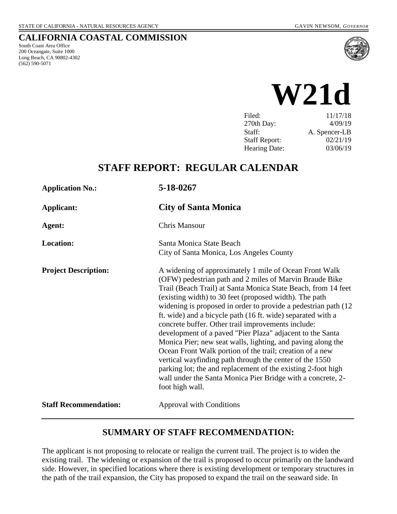# **CALIFORNIA COASTAL COMMISSION**

South Coast Area Office 200 Oceangate, Suite 1000 Long Beach, CA 90802-4302 (562) 590-5071



# **W21d**

| Filed:               | 11/17/18      |
|----------------------|---------------|
| 270th Day:           | 4/09/19       |
| Staff:               | A. Spencer-LB |
| <b>Staff Report:</b> | 02/21/19      |
| Hearing Date:        | 03/06/19      |

# **STAFF REPORT: REGULAR CALENDAR**

| <b>Application No.:</b>      | 5-18-0267                                                                                                                                                                                                                                                                                                                                                                                                                                                                                                                                                                                                                                                                                                                                                                                                                                 |  |
|------------------------------|-------------------------------------------------------------------------------------------------------------------------------------------------------------------------------------------------------------------------------------------------------------------------------------------------------------------------------------------------------------------------------------------------------------------------------------------------------------------------------------------------------------------------------------------------------------------------------------------------------------------------------------------------------------------------------------------------------------------------------------------------------------------------------------------------------------------------------------------|--|
| <b>Applicant:</b>            | <b>City of Santa Monica</b>                                                                                                                                                                                                                                                                                                                                                                                                                                                                                                                                                                                                                                                                                                                                                                                                               |  |
| Agent:                       | <b>Chris Mansour</b>                                                                                                                                                                                                                                                                                                                                                                                                                                                                                                                                                                                                                                                                                                                                                                                                                      |  |
| <b>Location:</b>             | Santa Monica State Beach<br>City of Santa Monica, Los Angeles County                                                                                                                                                                                                                                                                                                                                                                                                                                                                                                                                                                                                                                                                                                                                                                      |  |
| <b>Project Description:</b>  | A widening of approximately 1 mile of Ocean Front Walk<br>(OFW) pedestrian path and 2 miles of Marvin Braude Bike<br>Trail (Beach Trail) at Santa Monica State Beach, from 14 feet<br>(existing width) to 30 feet (proposed width). The path<br>widening is proposed in order to provide a pedestrian path (12)<br>ft. wide) and a bicycle path (16 ft. wide) separated with a<br>concrete buffer. Other trail improvements include:<br>development of a paved "Pier Plaza" adjacent to the Santa<br>Monica Pier; new seat walls, lighting, and paving along the<br>Ocean Front Walk portion of the trail; creation of a new<br>vertical wayfinding path through the center of the 1550<br>parking lot; the and replacement of the existing 2-foot high<br>wall under the Santa Monica Pier Bridge with a concrete, 2-<br>foot high wall. |  |
| <b>Staff Recommendation:</b> | <b>Approval with Conditions</b>                                                                                                                                                                                                                                                                                                                                                                                                                                                                                                                                                                                                                                                                                                                                                                                                           |  |
|                              |                                                                                                                                                                                                                                                                                                                                                                                                                                                                                                                                                                                                                                                                                                                                                                                                                                           |  |

## **SUMMARY OF STAFF RECOMMENDATION:**

The applicant is not proposing to relocate or realign the current trail. The project is to widen the existing trail. The widening or expansion of the trail is proposed to occur primarily on the landward side. However, in specified locations where there is existing development or temporary structures in the path of the trail expansion, the City has proposed to expand the trail on the seaward side. In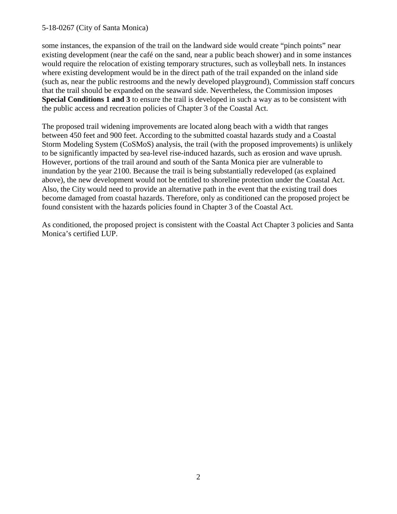some instances, the expansion of the trail on the landward side would create "pinch points" near existing development (near the café on the sand, near a public beach shower) and in some instances would require the relocation of existing temporary structures, such as volleyball nets. In instances where existing development would be in the direct path of the trail expanded on the inland side (such as, near the public restrooms and the newly developed playground), Commission staff concurs that the trail should be expanded on the seaward side. Nevertheless, the Commission imposes **Special Conditions 1 and 3** to ensure the trail is developed in such a way as to be consistent with the public access and recreation policies of Chapter 3 of the Coastal Act.

The proposed trail widening improvements are located along beach with a width that ranges between 450 feet and 900 feet. According to the submitted coastal hazards study and a Coastal Storm Modeling System (CoSMoS) analysis, the trail (with the proposed improvements) is unlikely to be significantly impacted by sea-level rise-induced hazards, such as erosion and wave uprush. However, portions of the trail around and south of the Santa Monica pier are vulnerable to inundation by the year 2100. Because the trail is being substantially redeveloped (as explained above), the new development would not be entitled to shoreline protection under the Coastal Act. Also, the City would need to provide an alternative path in the event that the existing trail does become damaged from coastal hazards. Therefore, only as conditioned can the proposed project be found consistent with the hazards policies found in Chapter 3 of the Coastal Act.

As conditioned, the proposed project is consistent with the Coastal Act Chapter 3 policies and Santa Monica's certified LUP.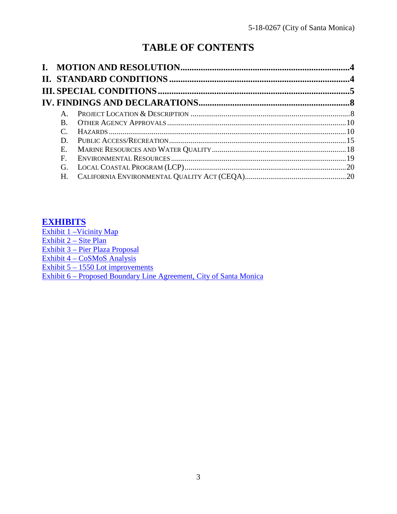# **TABLE OF CONTENTS**

| $A_{\cdot}$ |  |
|-------------|--|
| B.          |  |
|             |  |
| D.          |  |
| E.          |  |
| $F_{\cdot}$ |  |
| G.          |  |
| Н.          |  |

# **[EXHIBITS](https://documents.coastal.ca.gov/reports/2019/3/w21d/w21d-3-2019-exhibits.pdf)**

Exhibit 1 – Vicinity Map [Exhibit 2 –](https://documents.coastal.ca.gov/reports/2019/3/w21d/w21d-3-2019-exhibits.pdf) Site Plan Exhibit 3 – [Pier Plaza Proposal](https://documents.coastal.ca.gov/reports/2019/3/w21d/w21d-3-2019-exhibits.pdf) Exhibit 4 – [CoSMoS Analysis](https://documents.coastal.ca.gov/reports/2019/3/w21d/w21d-3-2019-exhibits.pdf) Exhibit 5 – [1550 Lot improvements](https://documents.coastal.ca.gov/reports/2019/3/w21d/w21d-3-2019-exhibits.pdf)  Exhibit 6 – [Proposed Boundary Line Agreement, City of Santa Monica](https://documents.coastal.ca.gov/reports/2019/3/w21d/w21d-3-2019-exhibits.pdf)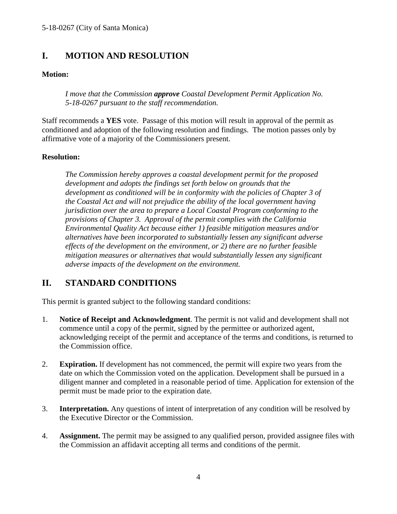# <span id="page-3-0"></span>**I. MOTION AND RESOLUTION**

## **Motion:**

*I move that the Commission approve Coastal Development Permit Application No. 5-18-0267 pursuant to the staff recommendation.*

Staff recommends a **YES** vote. Passage of this motion will result in approval of the permit as conditioned and adoption of the following resolution and findings. The motion passes only by affirmative vote of a majority of the Commissioners present.

## **Resolution:**

*The Commission hereby approves a coastal development permit for the proposed development and adopts the findings set forth below on grounds that the development as conditioned will be in conformity with the policies of Chapter 3 of the Coastal Act and will not prejudice the ability of the local government having jurisdiction over the area to prepare a Local Coastal Program conforming to the provisions of Chapter 3. Approval of the permit complies with the California Environmental Quality Act because either 1) feasible mitigation measures and/or alternatives have been incorporated to substantially lessen any significant adverse effects of the development on the environment, or 2) there are no further feasible mitigation measures or alternatives that would substantially lessen any significant adverse impacts of the development on the environment.*

# <span id="page-3-1"></span>**II. STANDARD CONDITIONS**

This permit is granted subject to the following standard conditions:

- 1. **Notice of Receipt and Acknowledgment**. The permit is not valid and development shall not commence until a copy of the permit, signed by the permittee or authorized agent, acknowledging receipt of the permit and acceptance of the terms and conditions, is returned to the Commission office.
- 2. **Expiration.** If development has not commenced, the permit will expire two years from the date on which the Commission voted on the application. Development shall be pursued in a diligent manner and completed in a reasonable period of time. Application for extension of the permit must be made prior to the expiration date.
- 3. **Interpretation.** Any questions of intent of interpretation of any condition will be resolved by the Executive Director or the Commission.
- 4. **Assignment.** The permit may be assigned to any qualified person, provided assignee files with the Commission an affidavit accepting all terms and conditions of the permit.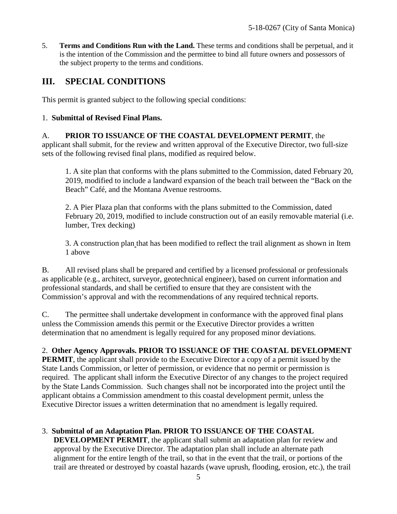5. **Terms and Conditions Run with the Land.** These terms and conditions shall be perpetual, and it is the intention of the Commission and the permittee to bind all future owners and possessors of the subject property to the terms and conditions.

# <span id="page-4-0"></span>**III. SPECIAL CONDITIONS**

This permit is granted subject to the following special conditions:

## 1. **Submittal of Revised Final Plans.**

#### A. **PRIOR TO ISSUANCE OF THE COASTAL DEVELOPMENT PERMIT**, the applicant shall submit, for the review and written approval of the Executive Director, two full-size sets of the following revised final plans, modified as required below.

1. A site plan that conforms with the plans submitted to the Commission, dated February 20, 2019, modified to include a landward expansion of the beach trail between the "Back on the Beach" Café, and the Montana Avenue restrooms.

2. A Pier Plaza plan that conforms with the plans submitted to the Commission, dated February 20, 2019, modified to include construction out of an easily removable material (i.e. lumber, Trex decking)

3. A construction plan that has been modified to reflect the trail alignment as shown in Item 1 above

B. All revised plans shall be prepared and certified by a licensed professional or professionals as applicable (e.g., architect, surveyor, geotechnical engineer), based on current information and professional standards, and shall be certified to ensure that they are consistent with the Commission's approval and with the recommendations of any required technical reports.

C. The permittee shall undertake development in conformance with the approved final plans unless the Commission amends this permit or the Executive Director provides a written determination that no amendment is legally required for any proposed minor deviations.

## 2. **Other Agency Approvals. PRIOR TO ISSUANCE OF THE COASTAL DEVELOPMENT**

**PERMIT**, the applicant shall provide to the Executive Director a copy of a permit issued by the State Lands Commission, or letter of permission, or evidence that no permit or permission is required. The applicant shall inform the Executive Director of any changes to the project required by the State Lands Commission. Such changes shall not be incorporated into the project until the applicant obtains a Commission amendment to this coastal development permit, unless the Executive Director issues a written determination that no amendment is legally required.

3. **Submittal of an Adaptation Plan. PRIOR TO ISSUANCE OF THE COASTAL DEVELOPMENT PERMIT**, the applicant shall submit an adaptation plan for review and approval by the Executive Director. The adaptation plan shall include an alternate path alignment for the entire length of the trail, so that in the event that the trail, or portions of the trail are threated or destroyed by coastal hazards (wave uprush, flooding, erosion, etc.), the trail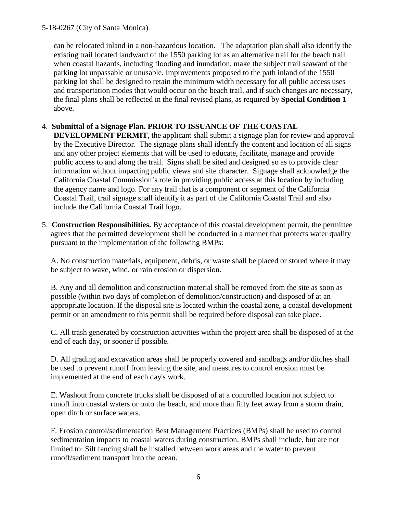can be relocated inland in a non-hazardous location. The adaptation plan shall also identify the existing trail located landward of the 1550 parking lot as an alternative trail for the beach trail when coastal hazards, including flooding and inundation, make the subject trail seaward of the parking lot unpassable or unusable. Improvements proposed to the path inland of the 1550 parking lot shall be designed to retain the minimum width necessary for all public access uses and transportation modes that would occur on the beach trail, and if such changes are necessary, the final plans shall be reflected in the final revised plans, as required by **Special Condition 1**  above.

## 4. **Submittal of a Signage Plan. PRIOR TO ISSUANCE OF THE COASTAL**

**DEVELOPMENT PERMIT**, the applicant shall submit a signage plan for review and approval by the Executive Director. The signage plans shall identify the content and location of all signs and any other project elements that will be used to educate, facilitate, manage and provide public access to and along the trail. Signs shall be sited and designed so as to provide clear information without impacting public views and site character. Signage shall acknowledge the California Coastal Commission's role in providing public access at this location by including the agency name and logo. For any trail that is a component or segment of the California Coastal Trail, trail signage shall identify it as part of the California Coastal Trail and also include the California Coastal Trail logo.

5. **Construction Responsibilities.** By acceptance of this coastal development permit, the permittee agrees that the permitted development shall be conducted in a manner that protects water quality pursuant to the implementation of the following BMPs:

A. No construction materials, equipment, debris, or waste shall be placed or stored where it may be subject to wave, wind, or rain erosion or dispersion.

B. Any and all demolition and construction material shall be removed from the site as soon as possible (within two days of completion of demolition/construction) and disposed of at an appropriate location. If the disposal site is located within the coastal zone, a coastal development permit or an amendment to this permit shall be required before disposal can take place.

C. All trash generated by construction activities within the project area shall be disposed of at the end of each day, or sooner if possible.

D. All grading and excavation areas shall be properly covered and sandbags and/or ditches shall be used to prevent runoff from leaving the site, and measures to control erosion must be implemented at the end of each day's work.

E. Washout from concrete trucks shall be disposed of at a controlled location not subject to runoff into coastal waters or onto the beach, and more than fifty feet away from a storm drain, open ditch or surface waters.

F. Erosion control/sedimentation Best Management Practices (BMPs) shall be used to control sedimentation impacts to coastal waters during construction. BMPs shall include, but are not limited to: Silt fencing shall be installed between work areas and the water to prevent runoff/sediment transport into the ocean.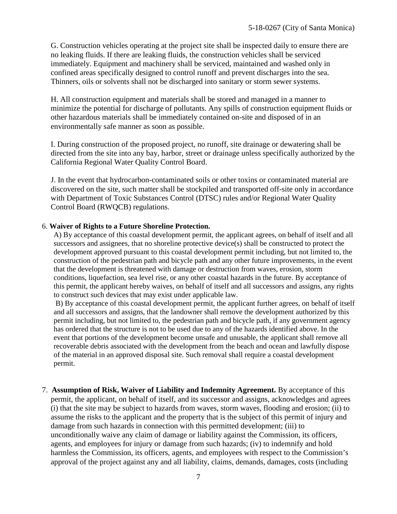G. Construction vehicles operating at the project site shall be inspected daily to ensure there are no leaking fluids. If there are leaking fluids, the construction vehicles shall be serviced immediately. Equipment and machinery shall be serviced, maintained and washed only in confined areas specifically designed to control runoff and prevent discharges into the sea. Thinners, oils or solvents shall not be discharged into sanitary or storm sewer systems.

H. All construction equipment and materials shall be stored and managed in a manner to minimize the potential for discharge of pollutants. Any spills of construction equipment fluids or other hazardous materials shall be immediately contained on-site and disposed of in an environmentally safe manner as soon as possible.

I. During construction of the proposed project, no runoff, site drainage or dewatering shall be directed from the site into any bay, harbor, street or drainage unless specifically authorized by the California Regional Water Quality Control Board.

J. In the event that hydrocarbon-contaminated soils or other toxins or contaminated material are discovered on the site, such matter shall be stockpiled and transported off-site only in accordance with Department of Toxic Substances Control (DTSC) rules and/or Regional Water Quality Control Board (RWQCB) regulations.

#### 6. **Waiver of Rights to a Future Shoreline Protection.**

A) By acceptance of this coastal development permit, the applicant agrees, on behalf of itself and all successors and assignees, that no shoreline protective device(s) shall be constructed to protect the development approved pursuant to this coastal development permit including, but not limited to, the construction of the pedestrian path and bicycle path and any other future improvements, in the event that the development is threatened with damage or destruction from waves, erosion, storm conditions, liquefaction, sea level rise, or any other coastal hazards in the future. By acceptance of this permit, the applicant hereby waives, on behalf of itself and all successors and assigns, any rights to construct such devices that may exist under applicable law.

B) By acceptance of this coastal development permit, the applicant further agrees, on behalf of itself and all successors and assigns, that the landowner shall remove the development authorized by this permit including, but not limited to, the pedestrian path and bicycle path, if any government agency has ordered that the structure is not to be used due to any of the hazards identified above. In the event that portions of the development become unsafe and unusable, the applicant shall remove all recoverable debris associated with the development from the beach and ocean and lawfully dispose of the material in an approved disposal site. Such removal shall require a coastal development permit.

7. **Assumption of Risk, Waiver of Liability and Indemnity Agreement.** By acceptance of this permit, the applicant, on behalf of itself, and its successor and assigns, acknowledges and agrees (i) that the site may be subject to hazards from waves, storm waves, flooding and erosion; (ii) to assume the risks to the applicant and the property that is the subject of this permit of injury and damage from such hazards in connection with this permitted development; (iii) to unconditionally waive any claim of damage or liability against the Commission, its officers, agents, and employees for injury or damage from such hazards; (iv) to indemnify and hold harmless the Commission, its officers, agents, and employees with respect to the Commission's approval of the project against any and all liability, claims, demands, damages, costs (including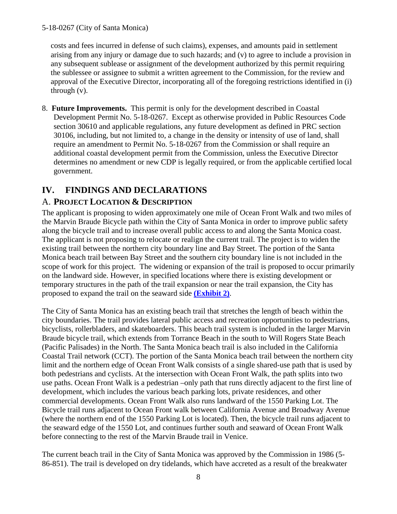costs and fees incurred in defense of such claims), expenses, and amounts paid in settlement arising from any injury or damage due to such hazards; and (v) to agree to include a provision in any subsequent sublease or assignment of the development authorized by this permit requiring the sublessee or assignee to submit a written agreement to the Commission, for the review and approval of the Executive Director, incorporating all of the foregoing restrictions identified in (i) through (v).

8. **Future Improvements.** This permit is only for the development described in Coastal Development Permit No. 5-18-0267. Except as otherwise provided in Public Resources Code section 30610 and applicable regulations, any future development as defined in PRC section 30106, including, but not limited to, a change in the density or intensity of use of land, shall require an amendment to Permit No. 5-18-0267 from the Commission or shall require an additional coastal development permit from the Commission, unless the Executive Director determines no amendment or new CDP is legally required, or from the applicable certified local government.

# <span id="page-7-0"></span>**IV. FINDINGS AND DECLARATIONS**

## <span id="page-7-1"></span>A. **PROJECT LOCATION & DESCRIPTION**

The applicant is proposing to widen approximately one mile of Ocean Front Walk and two miles of the Marvin Braude Bicycle path within the City of Santa Monica in order to improve public safety along the bicycle trail and to increase overall public access to and along the Santa Monica coast. The applicant is not proposing to relocate or realign the current trail. The project is to widen the existing trail between the northern city boundary line and Bay Street. The portion of the Santa Monica beach trail between Bay Street and the southern city boundary line is not included in the scope of work for this project. The widening or expansion of the trail is proposed to occur primarily on the landward side. However, in specified locations where there is existing development or temporary structures in the path of the trail expansion or near the trail expansion, the City has proposed to expand the trail on the seaward side **[\(Exhibit 2\)](https://documents.coastal.ca.gov/reports/2019/3/w21d/w21d-3-2019-exhibits.pdf)**.

The City of Santa Monica has an existing beach trail that stretches the length of beach within the city boundaries. The trail provides lateral public access and recreation opportunities to pedestrians, bicyclists, rollerbladers, and skateboarders. This beach trail system is included in the larger Marvin Braude bicycle trail, which extends from Torrance Beach in the south to Will Rogers State Beach (Pacific Palisades) in the North. The Santa Monica beach trail is also included in the California Coastal Trail network (CCT). The portion of the Santa Monica beach trail between the northern city limit and the northern edge of Ocean Front Walk consists of a single shared-use path that is used by both pedestrians and cyclists. At the intersection with Ocean Front Walk, the path splits into two use paths. Ocean Front Walk is a pedestrian –only path that runs directly adjacent to the first line of development, which includes the various beach parking lots, private residences, and other commercial developments. Ocean Front Walk also runs landward of the 1550 Parking Lot. The Bicycle trail runs adjacent to Ocean Front walk between California Avenue and Broadway Avenue (where the northern end of the 1550 Parking Lot is located). Then, the bicycle trail runs adjacent to the seaward edge of the 1550 Lot, and continues further south and seaward of Ocean Front Walk before connecting to the rest of the Marvin Braude trail in Venice.

The current beach trail in the City of Santa Monica was approved by the Commission in 1986 (5- 86-851). The trail is developed on dry tidelands, which have accreted as a result of the breakwater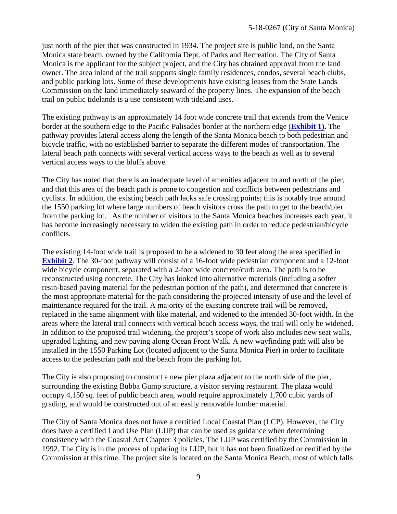just north of the pier that was constructed in 1934. The project site is public land, on the Santa Monica state beach, owned by the California Dept. of Parks and Recreation. The City of Santa Monica is the applicant for the subject project, and the City has obtained approval from the land owner. The area inland of the trail supports single family residences, condos, several beach clubs, and public parking lots. Some of these developments have existing leases from the State Lands Commission on the land immediately seaward of the property lines. The expansion of the beach trail on public tidelands is a use consistent with tideland uses.

The existing pathway is an approximately 14 foot wide concrete trail that extends from the Venice border at the southern edge to the Pacific Palisades border at the northern edge (**[Exhibit 1\).](https://documents.coastal.ca.gov/reports/2019/3/w21d/w21d-3-2019-exhibits.pdf)** The pathway provides lateral access along the length of the Santa Monica beach to both pedestrian and bicycle traffic, with no established barrier to separate the different modes of transportation. The lateral beach path connects with several vertical access ways to the beach as well as to several vertical access ways to the bluffs above.

The City has noted that there is an inadequate level of amenities adjacent to and north of the pier, and that this area of the beach path is prone to congestion and conflicts between pedestrians and cyclists. In addition, the existing beach path lacks safe crossing points; this is notably true around the 1550 parking lot where large numbers of beach visitors cross the path to get to the beach/pier from the parking lot. As the number of visitors to the Santa Monica beaches increases each year, it has become increasingly necessary to widen the existing path in order to reduce pedestrian/bicycle conflicts.

The existing 14-foot wide trail is proposed to be a widened to 30 feet along the area specified in **[Exhibit 2](https://documents.coastal.ca.gov/reports/2019/3/w21d/w21d-3-2019-exhibits.pdf)**. The 30-foot pathway will consist of a 16-foot wide pedestrian component and a 12-foot wide bicycle component, separated with a 2-foot wide concrete/curb area. The path is to be reconstructed using concrete. The City has looked into alternative materials (including a softer resin-based paving material for the pedestrian portion of the path), and determined that concrete is the most appropriate material for the path considering the projected intensity of use and the level of maintenance required for the trail. A majority of the existing concrete trail will be removed, replaced in the same alignment with like material, and widened to the intended 30-foot width. In the areas where the lateral trail connects with vertical beach access ways, the trail will only be widened. In addition to the proposed trail widening, the project's scope of work also includes new seat walls, upgraded lighting, and new paving along Ocean Front Walk. A new wayfinding path will also be installed in the 1550 Parking Lot (located adjacent to the Santa Monica Pier) in order to facilitate access to the pedestrian path and the beach from the parking lot.

The City is also proposing to construct a new pier plaza adjacent to the north side of the pier, surrounding the existing Bubba Gump structure, a visitor serving restaurant. The plaza would occupy 4,150 sq. feet of public beach area, would require approximately 1,700 cubic yards of grading, and would be constructed out of an easily removable lumber material.

The City of Santa Monica does not have a certified Local Coastal Plan (LCP). However, the City does have a certified Land Use Plan (LUP) that can be used as guidance when determining consistency with the Coastal Act Chapter 3 policies. The LUP was certified by the Commission in 1992. The City is in the process of updating its LUP, but it has not been finalized or certified by the Commission at this time. The project site is located on the Santa Monica Beach, most of which falls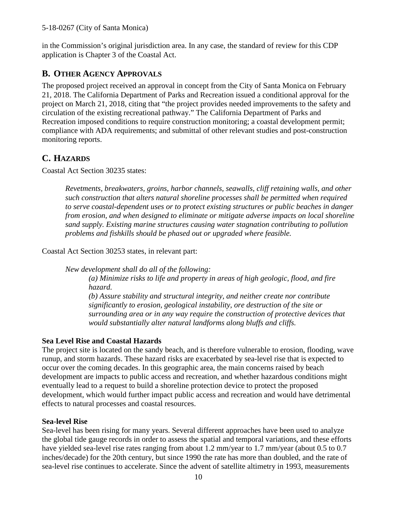in the Commission's original jurisdiction area. In any case, the standard of review for this CDP application is Chapter 3 of the Coastal Act.

## <span id="page-9-0"></span>**B. OTHER AGENCY APPROVALS**

The proposed project received an approval in concept from the City of Santa Monica on February 21, 2018. The California Department of Parks and Recreation issued a conditional approval for the project on March 21, 2018, citing that "the project provides needed improvements to the safety and circulation of the existing recreational pathway." The California Department of Parks and Recreation imposed conditions to require construction monitoring; a coastal development permit; compliance with ADA requirements; and submittal of other relevant studies and post-construction monitoring reports.

# <span id="page-9-1"></span>**C. HAZARDS**

Coastal Act Section 30235 states:

*Revetments, breakwaters, groins, harbor channels, seawalls, cliff retaining walls, and other such construction that alters natural shoreline processes shall be permitted when required to serve coastal-dependent uses or to protect existing structures or public beaches in danger from erosion, and when designed to eliminate or mitigate adverse impacts on local shoreline sand supply. Existing marine structures causing water stagnation contributing to pollution problems and fishkills should be phased out or upgraded where feasible.*

Coastal Act Section 30253 states, in relevant part:

*New development shall do all of the following:*

*(a) Minimize risks to life and property in areas of high geologic, flood, and fire hazard.*

*(b) Assure stability and structural integrity, and neither create nor contribute significantly to erosion, geological instability, ore destruction of the site or surrounding area or in any way require the construction of protective devices that would substantially alter natural landforms along bluffs and cliffs.*

## **Sea Level Rise and Coastal Hazards**

The project site is located on the sandy beach, and is therefore vulnerable to erosion, flooding, wave runup, and storm hazards. These hazard risks are exacerbated by sea-level rise that is expected to occur over the coming decades. In this geographic area, the main concerns raised by beach development are impacts to public access and recreation, and whether hazardous conditions might eventually lead to a request to build a shoreline protection device to protect the proposed development, which would further impact public access and recreation and would have detrimental effects to natural processes and coastal resources.

## **Sea-level Rise**

Sea-level has been rising for many years. Several different approaches have been used to analyze the global tide gauge records in order to assess the spatial and temporal variations, and these efforts have yielded sea-level rise rates ranging from about 1.2 mm/year to 1.7 mm/year (about 0.5 to 0.7 inches/decade) for the 20th century, but since 1990 the rate has more than doubled, and the rate of sea-level rise continues to accelerate. Since the advent of satellite altimetry in 1993, measurements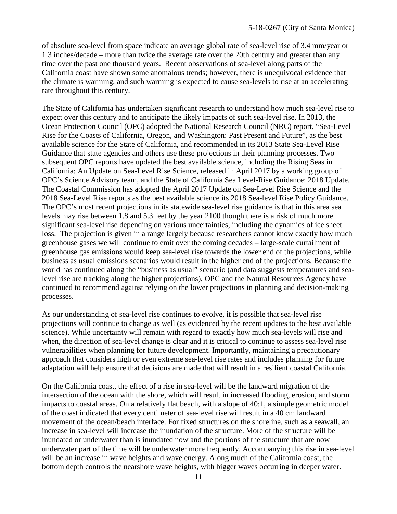of absolute sea-level from space indicate an average global rate of sea-level rise of 3.4 mm/year or 1.3 inches/decade – more than twice the average rate over the 20th century and greater than any time over the past one thousand years. Recent observations of sea-level along parts of the California coast have shown some anomalous trends; however, there is unequivocal evidence that the climate is warming, and such warming is expected to cause sea-levels to rise at an accelerating rate throughout this century.

The State of California has undertaken significant research to understand how much sea-level rise to expect over this century and to anticipate the likely impacts of such sea-level rise. In 2013, the Ocean Protection Council (OPC) adopted the National Research Council (NRC) report, "Sea-Level Rise for the Coasts of California, Oregon, and Washington: Past Present and Future", as the best available science for the State of California, and recommended in its 2013 State Sea-Level Rise Guidance that state agencies and others use these projections in their planning processes. Two subsequent OPC reports have updated the best available science, including the Rising Seas in California: An Update on Sea-Level Rise Science, released in April 2017 by a working group of OPC's Science Advisory team, and the State of California Sea Level-Rise Guidance: 2018 Update. The Coastal Commission has adopted the April 2017 Update on Sea-Level Rise Science and the 2018 Sea-Level Rise reports as the best available science its 2018 Sea-level Rise Policy Guidance. The OPC's most recent projections in its statewide sea-level rise guidance is that in this area sea levels may rise between 1.8 and 5.3 feet by the year 2100 though there is a risk of much more significant sea-level rise depending on various uncertainties, including the dynamics of ice sheet loss. The projection is given in a range largely because researchers cannot know exactly how much greenhouse gases we will continue to emit over the coming decades – large-scale curtailment of greenhouse gas emissions would keep sea-level rise towards the lower end of the projections, while business as usual emissions scenarios would result in the higher end of the projections. Because the world has continued along the "business as usual" scenario (and data suggests temperatures and sealevel rise are tracking along the higher projections), OPC and the Natural Resources Agency have continued to recommend against relying on the lower projections in planning and decision-making processes.

As our understanding of sea-level rise continues to evolve, it is possible that sea-level rise projections will continue to change as well (as evidenced by the recent updates to the best available science). While uncertainty will remain with regard to exactly how much sea-levels will rise and when, the direction of sea-level change is clear and it is critical to continue to assess sea-level rise vulnerabilities when planning for future development. Importantly, maintaining a precautionary approach that considers high or even extreme sea-level rise rates and includes planning for future adaptation will help ensure that decisions are made that will result in a resilient coastal California.

On the California coast, the effect of a rise in sea-level will be the landward migration of the intersection of the ocean with the shore, which will result in increased flooding, erosion, and storm impacts to coastal areas. On a relatively flat beach, with a slope of 40:1, a simple geometric model of the coast indicated that every centimeter of sea-level rise will result in a 40 cm landward movement of the ocean/beach interface. For fixed structures on the shoreline, such as a seawall, an increase in sea-level will increase the inundation of the structure. More of the structure will be inundated or underwater than is inundated now and the portions of the structure that are now underwater part of the time will be underwater more frequently. Accompanying this rise in sea-level will be an increase in wave heights and wave energy. Along much of the California coast, the bottom depth controls the nearshore wave heights, with bigger waves occurring in deeper water.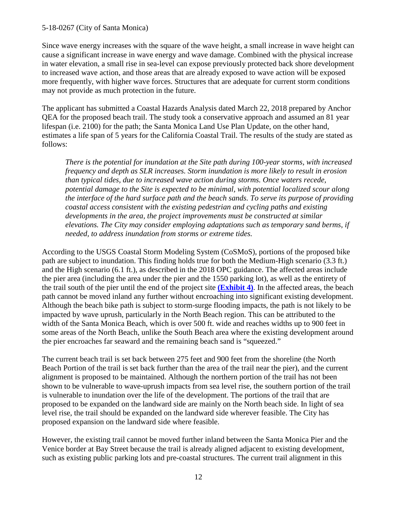Since wave energy increases with the square of the wave height, a small increase in wave height can cause a significant increase in wave energy and wave damage. Combined with the physical increase in water elevation, a small rise in sea-level can expose previously protected back shore development to increased wave action, and those areas that are already exposed to wave action will be exposed more frequently, with higher wave forces. Structures that are adequate for current storm conditions may not provide as much protection in the future.

The applicant has submitted a Coastal Hazards Analysis dated March 22, 2018 prepared by Anchor QEA for the proposed beach trail. The study took a conservative approach and assumed an 81 year lifespan (i.e. 2100) for the path; the Santa Monica Land Use Plan Update, on the other hand, estimates a life span of 5 years for the California Coastal Trail. The results of the study are stated as follows:

*There is the potential for inundation at the Site path during 100-year storms, with increased frequency and depth as SLR increases. Storm inundation is more likely to result in erosion than typical tides, due to increased wave action during storms. Once waters recede, potential damage to the Site is expected to be minimal, with potential localized scour along the interface of the hard surface path and the beach sands. To serve its purpose of providing coastal access consistent with the existing pedestrian and cycling paths and existing developments in the area, the project improvements must be constructed at similar elevations. The City may consider employing adaptations such as temporary sand berms, if needed, to address inundation from storms or extreme tides.* 

According to the USGS Coastal Storm Modeling System (CoSMoS), portions of the proposed bike path are subject to inundation. This finding holds true for both the Medium-High scenario (3.3 ft.) and the High scenario (6.1 ft.), as described in the 2018 OPC guidance. The affected areas include the pier area (including the area under the pier and the 1550 parking lot), as well as the entirety of the trail south of the pier until the end of the project site **[\(Exhibit 4\)](https://documents.coastal.ca.gov/reports/2019/3/w21d/w21d-3-2019-exhibits.pdf)**. In the affected areas, the beach path cannot be moved inland any further without encroaching into significant existing development. Although the beach bike path is subject to storm-surge flooding impacts, the path is not likely to be impacted by wave uprush, particularly in the North Beach region. This can be attributed to the width of the Santa Monica Beach, which is over 500 ft. wide and reaches widths up to 900 feet in some areas of the North Beach, unlike the South Beach area where the existing development around the pier encroaches far seaward and the remaining beach sand is "squeezed."

The current beach trail is set back between 275 feet and 900 feet from the shoreline (the North Beach Portion of the trail is set back further than the area of the trail near the pier), and the current alignment is proposed to be maintained. Although the northern portion of the trail has not been shown to be vulnerable to wave-uprush impacts from sea level rise, the southern portion of the trail is vulnerable to inundation over the life of the development. The portions of the trail that are proposed to be expanded on the landward side are mainly on the North beach side. In light of sea level rise, the trail should be expanded on the landward side wherever feasible. The City has proposed expansion on the landward side where feasible.

However, the existing trail cannot be moved further inland between the Santa Monica Pier and the Venice border at Bay Street because the trail is already aligned adjacent to existing development, such as existing public parking lots and pre-coastal structures. The current trail alignment in this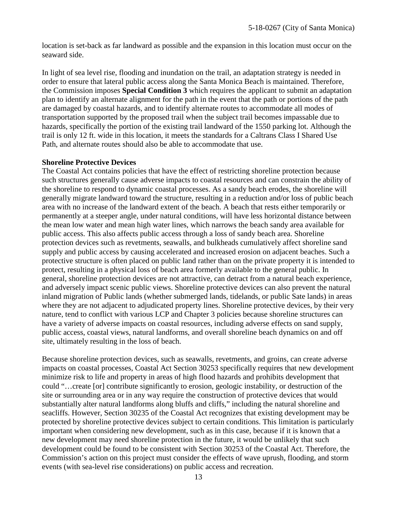location is set-back as far landward as possible and the expansion in this location must occur on the seaward side.

In light of sea level rise, flooding and inundation on the trail, an adaptation strategy is needed in order to ensure that lateral public access along the Santa Monica Beach is maintained. Therefore, the Commission imposes **Special Condition 3** which requires the applicant to submit an adaptation plan to identify an alternate alignment for the path in the event that the path or portions of the path are damaged by coastal hazards, and to identify alternate routes to accommodate all modes of transportation supported by the proposed trail when the subject trail becomes impassable due to hazards, specifically the portion of the existing trail landward of the 1550 parking lot. Although the trail is only 12 ft. wide in this location, it meets the standards for a Caltrans Class I Shared Use Path, and alternate routes should also be able to accommodate that use.

#### **Shoreline Protective Devices**

The Coastal Act contains policies that have the effect of restricting shoreline protection because such structures generally cause adverse impacts to coastal resources and can constrain the ability of the shoreline to respond to dynamic coastal processes. As a sandy beach erodes, the shoreline will generally migrate landward toward the structure, resulting in a reduction and/or loss of public beach area with no increase of the landward extent of the beach. A beach that rests either temporarily or permanently at a steeper angle, under natural conditions, will have less horizontal distance between the mean low water and mean high water lines, which narrows the beach sandy area available for public access. This also affects public access through a loss of sandy beach area. Shoreline protection devices such as revetments, seawalls, and bulkheads cumulatively affect shoreline sand supply and public access by causing accelerated and increased erosion on adjacent beaches. Such a protective structure is often placed on public land rather than on the private property it is intended to protect, resulting in a physical loss of beach area formerly available to the general public. In general, shoreline protection devices are not attractive, can detract from a natural beach experience, and adversely impact scenic public views. Shoreline protective devices can also prevent the natural inland migration of Public lands (whether submerged lands, tidelands, or public Sate lands) in areas where they are not adjacent to adjudicated property lines. Shoreline protective devices, by their very nature, tend to conflict with various LCP and Chapter 3 policies because shoreline structures can have a variety of adverse impacts on coastal resources, including adverse effects on sand supply, public access, coastal views, natural landforms, and overall shoreline beach dynamics on and off site, ultimately resulting in the loss of beach.

Because shoreline protection devices, such as seawalls, revetments, and groins, can create adverse impacts on coastal processes, Coastal Act Section 30253 specifically requires that new development minimize risk to life and property in areas of high flood hazards and prohibits development that could "…create [or] contribute significantly to erosion, geologic instability, or destruction of the site or surrounding area or in any way require the construction of protective devices that would substantially alter natural landforms along bluffs and cliffs," including the natural shoreline and seacliffs. However, Section 30235 of the Coastal Act recognizes that existing development may be protected by shoreline protective devices subject to certain conditions. This limitation is particularly important when considering new development, such as in this case, because if it is known that a new development may need shoreline protection in the future, it would be unlikely that such development could be found to be consistent with Section 30253 of the Coastal Act. Therefore, the Commission's action on this project must consider the effects of wave uprush, flooding, and storm events (with sea-level rise considerations) on public access and recreation.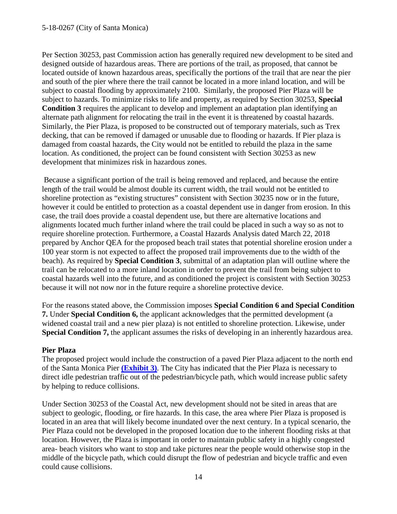Per Section 30253, past Commission action has generally required new development to be sited and designed outside of hazardous areas. There are portions of the trail, as proposed, that cannot be located outside of known hazardous areas, specifically the portions of the trail that are near the pier and south of the pier where there the trail cannot be located in a more inland location, and will be subject to coastal flooding by approximately 2100. Similarly, the proposed Pier Plaza will be subject to hazards. To minimize risks to life and property, as required by Section 30253, **Special Condition 3** requires the applicant to develop and implement an adaptation plan identifying an alternate path alignment for relocating the trail in the event it is threatened by coastal hazards. Similarly, the Pier Plaza, is proposed to be constructed out of temporary materials, such as Trex decking, that can be removed if damaged or unusable due to flooding or hazards. If Pier plaza is damaged from coastal hazards, the City would not be entitled to rebuild the plaza in the same location. As conditioned, the project can be found consistent with Section 30253 as new development that minimizes risk in hazardous zones.

Because a significant portion of the trail is being removed and replaced, and because the entire length of the trail would be almost double its current width, the trail would not be entitled to shoreline protection as "existing structures" consistent with Section 30235 now or in the future, however it could be entitled to protection as a coastal dependent use in danger from erosion. In this case, the trail does provide a coastal dependent use, but there are alternative locations and alignments located much further inland where the trail could be placed in such a way so as not to require shoreline protection. Furthermore, a Coastal Hazards Analysis dated March 22, 2018 prepared by Anchor QEA for the proposed beach trail states that potential shoreline erosion under a 100 year storm is not expected to affect the proposed trail improvements due to the width of the beach). As required by **Special Condition 3**, submittal of an adaptation plan will outline where the trail can be relocated to a more inland location in order to prevent the trail from being subject to coastal hazards well into the future, and as conditioned the project is consistent with Section 30253 because it will not now nor in the future require a shoreline protective device.

For the reasons stated above, the Commission imposes **Special Condition 6 and Special Condition 7.** Under **Special Condition 6,** the applicant acknowledges that the permitted development (a widened coastal trail and a new pier plaza) is not entitled to shoreline protection. Likewise, under **Special Condition 7,** the applicant assumes the risks of developing in an inherently hazardous area.

## **Pier Plaza**

The proposed project would include the construction of a paved Pier Plaza adjacent to the north end of the Santa Monica Pier **[\(Exhibit 3\)](https://documents.coastal.ca.gov/reports/2019/3/w21d/w21d-3-2019-exhibits.pdf)**. The City has indicated that the Pier Plaza is necessary to direct idle pedestrian traffic out of the pedestrian/bicycle path, which would increase public safety by helping to reduce collisions.

Under Section 30253 of the Coastal Act, new development should not be sited in areas that are subject to geologic, flooding, or fire hazards. In this case, the area where Pier Plaza is proposed is located in an area that will likely become inundated over the next century. In a typical scenario, the Pier Plaza could not be developed in the proposed location due to the inherent flooding risks at that location. However, the Plaza is important in order to maintain public safety in a highly congested area- beach visitors who want to stop and take pictures near the people would otherwise stop in the middle of the bicycle path, which could disrupt the flow of pedestrian and bicycle traffic and even could cause collisions.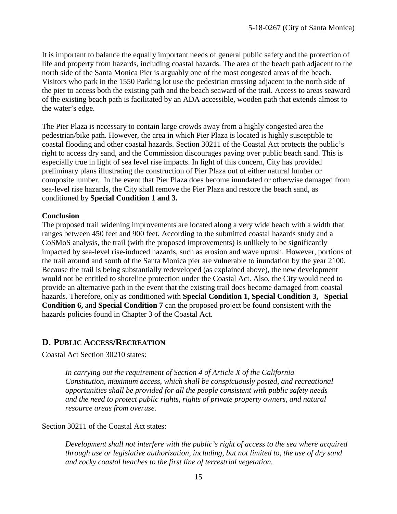It is important to balance the equally important needs of general public safety and the protection of life and property from hazards, including coastal hazards. The area of the beach path adjacent to the north side of the Santa Monica Pier is arguably one of the most congested areas of the beach. Visitors who park in the 1550 Parking lot use the pedestrian crossing adjacent to the north side of the pier to access both the existing path and the beach seaward of the trail. Access to areas seaward of the existing beach path is facilitated by an ADA accessible, wooden path that extends almost to the water's edge.

The Pier Plaza is necessary to contain large crowds away from a highly congested area the pedestrian/bike path. However, the area in which Pier Plaza is located is highly susceptible to coastal flooding and other coastal hazards. Section 30211 of the Coastal Act protects the public's right to access dry sand, and the Commission discourages paving over public beach sand. This is especially true in light of sea level rise impacts. In light of this concern, City has provided preliminary plans illustrating the construction of Pier Plaza out of either natural lumber or composite lumber. In the event that Pier Plaza does become inundated or otherwise damaged from sea-level rise hazards, the City shall remove the Pier Plaza and restore the beach sand, as conditioned by **Special Condition 1 and 3.**

#### **Conclusion**

The proposed trail widening improvements are located along a very wide beach with a width that ranges between 450 feet and 900 feet. According to the submitted coastal hazards study and a CoSMoS analysis, the trail (with the proposed improvements) is unlikely to be significantly impacted by sea-level rise-induced hazards, such as erosion and wave uprush. However, portions of the trail around and south of the Santa Monica pier are vulnerable to inundation by the year 2100. Because the trail is being substantially redeveloped (as explained above), the new development would not be entitled to shoreline protection under the Coastal Act. Also, the City would need to provide an alternative path in the event that the existing trail does become damaged from coastal hazards. Therefore, only as conditioned with **Special Condition 1, Special Condition 3, Special Condition 6,** and **Special Condition 7** can the proposed project be found consistent with the hazards policies found in Chapter 3 of the Coastal Act.

## <span id="page-14-0"></span>**D. PUBLIC ACCESS/RECREATION**

Coastal Act Section 30210 states:

*In carrying out the requirement of Section 4 of Article X of the California Constitution, maximum access, which shall be conspicuously posted, and recreational opportunities shall be provided for all the people consistent with public safety needs and the need to protect public rights, rights of private property owners, and natural resource areas from overuse.*

Section 30211 of the Coastal Act states:

*Development shall not interfere with the public's right of access to the sea where acquired through use or legislative authorization, including, but not limited to, the use of dry sand and rocky coastal beaches to the first line of terrestrial vegetation.*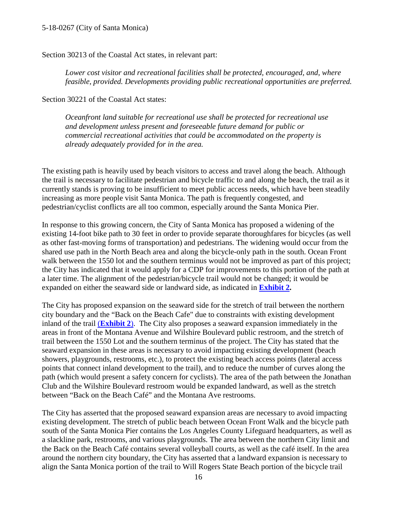Section 30213 of the Coastal Act states, in relevant part:

*Lower cost visitor and recreational facilities shall be protected, encouraged, and, where feasible, provided. Developments providing public recreational opportunities are preferred.*

Section 30221 of the Coastal Act states:

*Oceanfront land suitable for recreational use shall be protected for recreational use and development unless present and foreseeable future demand for public or commercial recreational activities that could be accommodated on the property is already adequately provided for in the area.*

The existing path is heavily used by beach visitors to access and travel along the beach. Although the trail is necessary to facilitate pedestrian and bicycle traffic to and along the beach, the trail as it currently stands is proving to be insufficient to meet public access needs, which have been steadily increasing as more people visit Santa Monica. The path is frequently congested, and pedestrian/cyclist conflicts are all too common, especially around the Santa Monica Pier.

In response to this growing concern, the City of Santa Monica has proposed a widening of the existing 14-foot bike path to 30 feet in order to provide separate thoroughfares for bicycles (as well as other fast-moving forms of transportation) and pedestrians. The widening would occur from the shared use path in the North Beach area and along the bicycle-only path in the south. Ocean Front walk between the 1550 lot and the southern terminus would not be improved as part of this project; the City has indicated that it would apply for a CDP for improvements to this portion of the path at a later time. The alignment of the pedestrian/bicycle trail would not be changed; it would be expanded on either the seaward side or landward side, as indicated in **[Exhibit 2.](https://documents.coastal.ca.gov/reports/2019/3/w21d/w21d-3-2019-exhibits.pdf)**

The City has proposed expansion on the seaward side for the stretch of trail between the northern city boundary and the "Back on the Beach Cafe" due to constraints with existing development inland of the trail (**[Exhibit 2](https://documents.coastal.ca.gov/reports/2019/3/w21d/w21d-3-2019-exhibits.pdf)**). The City also proposes a seaward expansion immediately in the areas in front of the Montana Avenue and Wilshire Boulevard public restroom, and the stretch of trail between the 1550 Lot and the southern terminus of the project. The City has stated that the seaward expansion in these areas is necessary to avoid impacting existing development (beach showers, playgrounds, restrooms, etc.), to protect the existing beach access points (lateral access points that connect inland development to the trail), and to reduce the number of curves along the path (which would present a safety concern for cyclists). The area of the path between the Jonathan Club and the Wilshire Boulevard restroom would be expanded landward, as well as the stretch between "Back on the Beach Café" and the Montana Ave restrooms.

The City has asserted that the proposed seaward expansion areas are necessary to avoid impacting existing development. The stretch of public beach between Ocean Front Walk and the bicycle path south of the Santa Monica Pier contains the Los Angeles County Lifeguard headquarters, as well as a slackline park, restrooms, and various playgrounds. The area between the northern City limit and the Back on the Beach Café contains several volleyball courts, as well as the café itself. In the area around the northern city boundary, the City has asserted that a landward expansion is necessary to align the Santa Monica portion of the trail to Will Rogers State Beach portion of the bicycle trail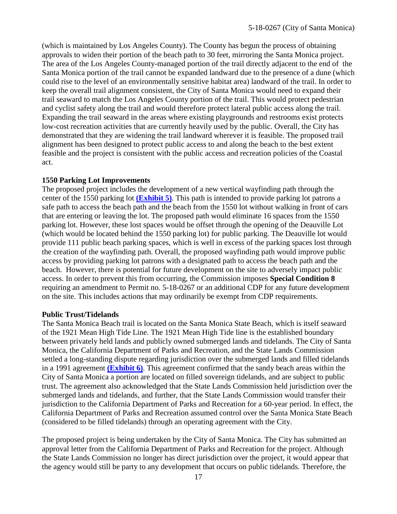(which is maintained by Los Angeles County). The County has begun the process of obtaining approvals to widen their portion of the beach path to 30 feet, mirroring the Santa Monica project. The area of the Los Angeles County-managed portion of the trail directly adjacent to the end of the Santa Monica portion of the trail cannot be expanded landward due to the presence of a dune (which could rise to the level of an environmentally sensitive habitat area) landward of the trail. In order to keep the overall trail alignment consistent, the City of Santa Monica would need to expand their trail seaward to match the Los Angeles County portion of the trail. This would protect pedestrian and cyclist safety along the trail and would therefore protect lateral public access along the trail. Expanding the trail seaward in the areas where existing playgrounds and restrooms exist protects low-cost recreation activities that are currently heavily used by the public. Overall, the City has demonstrated that they are widening the trail landward wherever it is feasible. The proposed trail alignment has been designed to protect public access to and along the beach to the best extent feasible and the project is consistent with the public access and recreation policies of the Coastal act.

### **1550 Parking Lot Improvements**

The proposed project includes the development of a new vertical wayfinding path through the center of the 1550 parking lot **[\(Exhibit 5\)](https://documents.coastal.ca.gov/reports/2019/3/w21d/w21d-3-2019-exhibits.pdf)**. This path is intended to provide parking lot patrons a safe path to access the beach path and the beach from the 1550 lot without walking in front of cars that are entering or leaving the lot. The proposed path would eliminate 16 spaces from the 1550 parking lot. However, these lost spaces would be offset through the opening of the Deauville Lot (which would be located behind the 1550 parking lot) for public parking. The Deauville lot would provide 111 public beach parking spaces, which is well in excess of the parking spaces lost through the creation of the wayfinding path. Overall, the proposed wayfinding path would improve public access by providing parking lot patrons with a designated path to access the beach path and the beach. However, there is potential for future development on the site to adversely impact public access. In order to prevent this from occurring, the Commission imposes **Special Condition 8** requiring an amendment to Permit no. 5-18-0267 or an additional CDP for any future development on the site. This includes actions that may ordinarily be exempt from CDP requirements.

#### **Public Trust/Tidelands**

The Santa Monica Beach trail is located on the Santa Monica State Beach, which is itself seaward of the 1921 Mean High Tide Line. The 1921 Mean High Tide line is the established boundary between privately held lands and publicly owned submerged lands and tidelands. The City of Santa Monica, the California Department of Parks and Recreation, and the State Lands Commission settled a long-standing dispute regarding jurisdiction over the submerged lands and filled tidelands in a 1991 agreement **[\(Exhibit 6\)](https://documents.coastal.ca.gov/reports/2019/3/w21d/w21d-3-2019-exhibits.pdf)**. This agreement confirmed that the sandy beach areas within the City of Santa Monica a portion are located on filled sovereign tidelands, and are subject to public trust. The agreement also acknowledged that the State Lands Commission held jurisdiction over the submerged lands and tidelands, and further, that the State Lands Commission would transfer their jurisdiction to the California Department of Parks and Recreation for a 60-year period. In effect, the California Department of Parks and Recreation assumed control over the Santa Monica State Beach (considered to be filled tidelands) through an operating agreement with the City.

The proposed project is being undertaken by the City of Santa Monica. The City has submitted an approval letter from the California Department of Parks and Recreation for the project. Although the State Lands Commission no longer has direct jurisdiction over the project, it would appear that the agency would still be party to any development that occurs on public tidelands. Therefore, the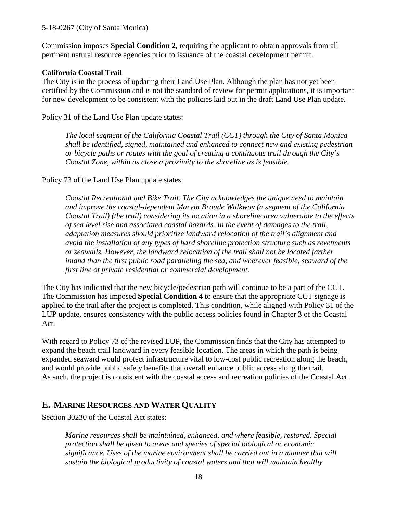Commission imposes **Special Condition 2,** requiring the applicant to obtain approvals from all pertinent natural resource agencies prior to issuance of the coastal development permit.

## **California Coastal Trail**

The City is in the process of updating their Land Use Plan. Although the plan has not yet been certified by the Commission and is not the standard of review for permit applications, it is important for new development to be consistent with the policies laid out in the draft Land Use Plan update.

Policy 31 of the Land Use Plan update states:

*The local segment of the California Coastal Trail (CCT) through the City of Santa Monica shall be identified, signed, maintained and enhanced to connect new and existing pedestrian or bicycle paths or routes with the goal of creating a continuous trail through the City's Coastal Zone, within as close a proximity to the shoreline as is feasible.*

Policy 73 of the Land Use Plan update states:

*Coastal Recreational and Bike Trail. The City acknowledges the unique need to maintain and improve the coastal-dependent Marvin Braude Walkway (a segment of the California Coastal Trail) (the trail) considering its location in a shoreline area vulnerable to the effects of sea level rise and associated coastal hazards. In the event of damages to the trail, adaptation measures should prioritize landward relocation of the trail's alignment and avoid the installation of any types of hard shoreline protection structure such as revetments or seawalls. However, the landward relocation of the trail shall not be located farther inland than the first public road paralleling the sea, and wherever feasible, seaward of the first line of private residential or commercial development.*

The City has indicated that the new bicycle/pedestrian path will continue to be a part of the CCT. The Commission has imposed **Special Condition 4** to ensure that the appropriate CCT signage is applied to the trail after the project is completed. This condition, while aligned with Policy 31 of the LUP update, ensures consistency with the public access policies found in Chapter 3 of the Coastal Act.

With regard to Policy 73 of the revised LUP, the Commission finds that the City has attempted to expand the beach trail landward in every feasible location. The areas in which the path is being expanded seaward would protect infrastructure vital to low-cost public recreation along the beach, and would provide public safety benefits that overall enhance public access along the trail. As such, the project is consistent with the coastal access and recreation policies of the Coastal Act.

# <span id="page-17-0"></span>**E. MARINE RESOURCES AND WATER QUALITY**

Section 30230 of the Coastal Act states:

*Marine resources shall be maintained, enhanced, and where feasible, restored. Special protection shall be given to areas and species of special biological or economic significance. Uses of the marine environment shall be carried out in a manner that will sustain the biological productivity of coastal waters and that will maintain healthy*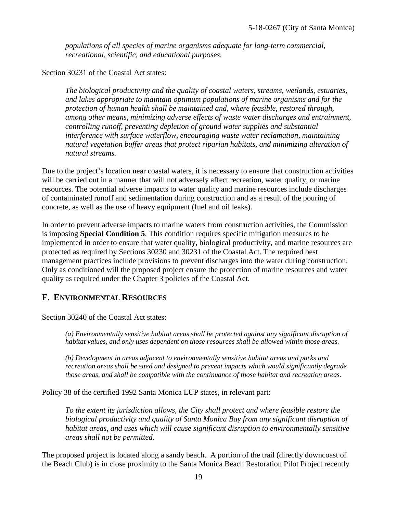*populations of all species of marine organisms adequate for long-term commercial, recreational, scientific, and educational purposes.*

Section 30231 of the Coastal Act states:

*The biological productivity and the quality of coastal waters, streams, wetlands, estuaries, and lakes appropriate to maintain optimum populations of marine organisms and for the protection of human health shall be maintained and, where feasible, restored through, among other means, minimizing adverse effects of waste water discharges and entrainment, controlling runoff, preventing depletion of ground water supplies and substantial interference with surface waterflow, encouraging waste water reclamation, maintaining natural vegetation buffer areas that protect riparian habitats, and minimizing alteration of natural streams.*

Due to the project's location near coastal waters, it is necessary to ensure that construction activities will be carried out in a manner that will not adversely affect recreation, water quality, or marine resources. The potential adverse impacts to water quality and marine resources include discharges of contaminated runoff and sedimentation during construction and as a result of the pouring of concrete, as well as the use of heavy equipment (fuel and oil leaks).

In order to prevent adverse impacts to marine waters from construction activities, the Commission is imposing **Special Condition 5**. This condition requires specific mitigation measures to be implemented in order to ensure that water quality, biological productivity, and marine resources are protected as required by Sections 30230 and 30231 of the Coastal Act. The required best management practices include provisions to prevent discharges into the water during construction. Only as conditioned will the proposed project ensure the protection of marine resources and water quality as required under the Chapter 3 policies of the Coastal Act.

# <span id="page-18-0"></span>**F. ENVIRONMENTAL RESOURCES**

Section 30240 of the Coastal Act states:

*(a) Environmentally sensitive habitat areas shall be protected against any significant disruption of habitat values, and only uses dependent on those resources shall be allowed within those areas.*

*(b) Development in areas adjacent to environmentally sensitive habitat areas and parks and recreation areas shall be sited and designed to prevent impacts which would significantly degrade those areas, and shall be compatible with the continuance of those habitat and recreation areas.*

Policy 38 of the certified 1992 Santa Monica LUP states, in relevant part:

*To the extent its jurisdiction allows, the City shall protect and where feasible restore the biological productivity and quality of Santa Monica Bay from any significant disruption of habitat areas, and uses which will cause significant disruption to environmentally sensitive areas shall not be permitted.*

The proposed project is located along a sandy beach. A portion of the trail (directly downcoast of the Beach Club) is in close proximity to the Santa Monica Beach Restoration Pilot Project recently